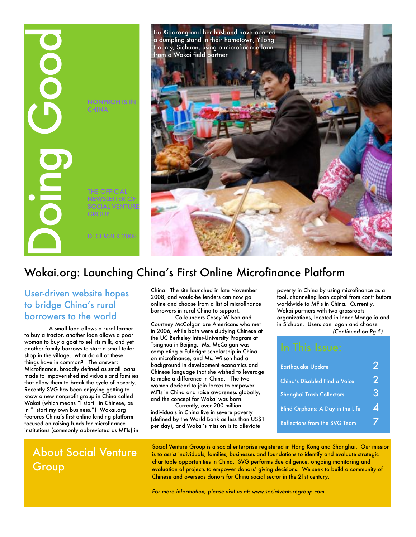Do $\bullet$  in the  $\bullet$ n  $\bigcirc$  $\mathbf{\mathbf{C}}$ o o **d** NONPROFITS IN **CHINA** THE OFFICIAL NEWSLETTER OF **SOCIAL VENTURE GROUP** DECEMBER 2008



# Wokai.org: Launching China's First Online Microfinance Platform

# User-driven website hopes to bridge China's rural borrowers to the world

A small loan allows a rural farmer to buy a tractor, another loan allows a poor woman to buy a goat to sell its milk, and yet another family borrows to start a small tailor shop in the village…what do all of these things have in common? The answer: Microfinance, broadly defined as small loans made to impoverished individuals and families that allow them to break the cycle of poverty. Recently SVG has been enjoying getting to know a new nonprofit group in China called Wokai (which means "I start" in Chinese, as in "I start my own business.") Wokai.org features China's first online lending platform focused on raising funds for microfinance institutions (commonly abbreviated as MFIs) in China. The site launched in late November 2008, and would-be lenders can now go online and choose from a list of microfinance borrowers in rural China to support.

Co-founders Casey Wilson and Courtney McColgan are Americans who met in 2006, while both were studying Chinese at the UC Berkeley Inter-University Program at Tsinghua in Beijing. Ms. McColgan was completing a Fulbright scholarship in China on microfinance, and Ms. Wilson had a background in development economics and Chinese language that she wished to leverage to make a difference in China. The two women decided to join forces to empower MFIs in China and raise awareness globally, and the concept for Wokai was born.

Currently, over 200 million individuals in China live in severe poverty (defined by the World Bank as less than US\$1 per day), and Wokai's mission is to alleviate

poverty in China by using microfinance as a tool, channeling loan capital from contributors worldwide to MFIs in China. Currently, Wokai partners with two grassroots organizations, located in Inner Mongolia and in Sichuan. Users can logon and choose *(Continued on Pg 5)*

| <b>Earthquake Update</b>                |   |
|-----------------------------------------|---|
| China's Disabled Find a Voice           | 2 |
| <b>Shanghai Trash Collectors</b>        | 3 |
| <b>Blind Orphans: A Day in the Life</b> | 4 |
| <b>Reflections from the SVG Team</b>    |   |

# About Social Venture Group

Social Venture Group is a social enterprise registered in Hong Kong and Shanghai. Our mission is to assist individuals, families, businesses and foundations to identify and evaluate strategic charitable opportunities in China. SVG performs due diligence, ongoing monitoring and evaluation of projects to empower donors' giving decisions. We seek to build a community of Chinese and overseas donors for China social sector in the 21st century.

*For more information, please visit us at: [www.socialventuregroup.com](http://www.socialventuregroup.com)*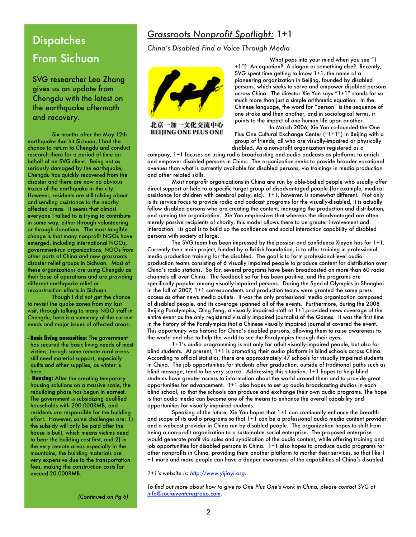# **Dispatches** From Sichuan

SVG researcher Leo Zhang gives us an update from Chengdu with the latest on the earthquake aftermath and recovery.

Six months after the May 12th earthquake that hit Sichuan, I had the chance to return to Chengdu and conduct research there for a period of time on behalf of an SVG client. Being not as seriously damaged by the earthquake, Chengdu has quickly recovered from the disaster and there are now no obvious traces of the earthquake in the city. However, residents are still talking about and sending assistance to the nearby affected areas. It seems that almost everyone I talked to is trying to contribute in some way, either through volunteering or through donations. The most tangible change is that many nonprofit NGOs have emerged, including international NGOs, government-run organizations, NGOs from other parts of China and new grassroots disaster relief groups in Sichuan. Most of these organizations are using Chengdu as their base of operations and are providing different earthquake relief or reconstruction efforts in Sichuan.

Though I did not get the chance to revisit the quake zones from my last visit, through talking to many NGO staff in Chengdu, here is a summary of the current needs and major issues of affected areas:

- **Basic living necessities:** The government has secured the basic living needs of most victims, though some remote rural areas still need material support, especially quilts and other supplies, as winter is here.
- **Housing:** After the creating temporary housing solutions on a massive scale, the rebuilding phase has begun in earnest. The government is subsidizing qualified households with 200,000RMB, and residents are responsible for the building effort. However, some challenges are: 1) the subsidy will only be paid after the house is built, which means victims need to bear the building cost first, and 2) in the very remote areas especially in the mountains, the building materials are very expensive due to the transportation fees, making the construction costs far exceed 20,000RMB.

# *Grassroots Nonprofit Spotlight:* 1+1

#### *China's Disabled Find a Voice Through Media*



北京一加一文化交流中心 **BEIJING ONE PLUS ONE** 

What pops into your mind when you see "1 +1"? An equation? A slogan or something else? Recently, SVG spent time getting to know 1+1, the name of a pioneering organization in Beijing, founded by disabled persons, which seeks to serve and empower disabled persons across China. The director Xie Yan says "1+1" stands for so much more than just a simple arithmetic equation. In the Chinese language, the word for "person" is the sequence of one stroke and then another, and in sociological terms, it points to the impact of one human life upon another.

In March 2006, Xie Yan co-founded the One Plus One Cultural Exchange Center ("1+1") in Beijing with a group of friends, all who are visually-impaired or physically disabled. As a non-profit organization registered as a

company, 1+1 focuses on using radio broadcasting and audio podcasts as platforms to enrich and empower disabled persons in China. The organization seeks to provide broader vocational avenues than what is currently available for disabled persons, via trainings in media production and other related skills.

Most nonprofit organizations in China are run by able-bodied people who usually offer direct support or help to a specific target group of disadvantaged people (for example, medical assistance for children with cerebral palsy, etc). 1+1, however, is somewhat different. Not only is its service focus to provide radio and podcast programs for the visually-disabled, it is actually fellow disabled persons who are creating the content, managing the production and distribution, and running the organization. Xie Yan emphasizes that whereas the disadvantaged are often merely passive recipients of charity, this model allows there to be greater involvement and interaction. Its goal is to build up the confidence and social interaction capability of disabled persons with society at large.

The SVG team has been impressed by the passion and confidence Xieyan has for 1+1. Currently their main project, funded by a British foundation, is to offer training in professional media production training for the disabled. The goal is to form professional-level audio production teams consisting of 6 visually impaired people to produce content for distribution over China's radio stations. So far, several programs have been broadcasted on more than 60 radio channels all over China. The feedback so far has been positive, and the programs are specifically popular among visually-impaired persons. During the Special Olympics in Shanghai in the fall of 2007, 1+1 correspondents and production teams were granted the same press access as other news media outlets. It was the only professional media organization composed of disabled people, and its coverage spanned all of the events. Furthermore, during the 2008 Beijing Paralympics, Qing Feng, a visually impaired staff at 1+1,provided news coverage of the entire event as the only registered visually impaired journalist of the Games. It was the first time in the history of the Paralympics that a Chinese visually impaired journalist covered the event. This opportunity was historic for China's disabled persons, allowing them to raise awareness to the world and also to help the world to see the Paralympics through their eyes.

1+1's audio programming is not only for adult visually-impaired people, but also for blind students. At present, 1+1 is promoting their audio platform in blind schools across China. According to official statistics, there are approximately 47 schools for visually impaired students in China. The job opportunities for students after graduation, outside of traditional paths such as blind massage, tend to be very scarce. Addressing this situation, 1+1 hopes to help blind students have greater access to information about the world around them and to provide great opportunities for advancement. 1+1 also hopes to set up audio broadcasting studios in each blind school, so that the schools can produce and exchange their own audio programs. The hope is that audio media can become one of the means to enhance the overall capability and opportunities for visually impaired students.

Speaking of the future, Xie Yan hopes that 1+1 can continually enhance the breadth and scope of its audio programs so that 1+1 can be a professional audio media content provider and a webcast provider in China run by disabled people. The organization hopes to shift from being a non-profit organization to a sustainable social enterprise. The proposed enterprise would generate profit via sales and syndication of the audio content, while offering training and job opportunities for disabled persons in China. 1+1 also hopes to produce audio programs for other nonprofits in China, providing them another platform to market their services, so that like 1 +1 more and more people can have a deeper awareness of the capabilities of China's disabled.

#### *1+1's website is: [http://www.yijiayi.org.](http://www.yijiayi.org)*

*To find out more about how to give to One Plus One's work in China, please contact SVG at [info@socialventuregroup.com.](mailto:info@socialventuregroup.com)* 

*(Continued on Pg 6)*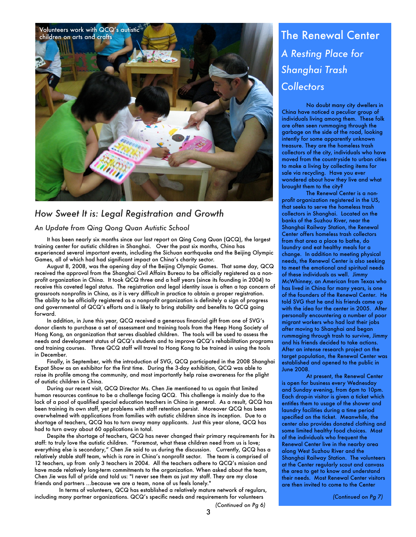

## *How Sweet It is: Legal Registration and Growth*

#### *An Update from Qing Qong Quan Autistic School*

It has been nearly six months since our last report on Qing Cong Quan (QCQ), the largest training center for autistic children in Shanghai. Over the past six months, China has experienced several important events, including the Sichuan earthquake and the Beijing Olympic Games, all of which had had significant impact on China's charity sector.

August 8, 2008, was the opening day of the Beijing Olympic Games. That same day, QCQ received the approval from the Shanghai Civil Affairs Bureau to be officially registered as a nonprofit organization in China. It took QCQ three and a half years (since its founding in 2004) to receive this coveted legal status. The registration and legal identity issue is often a top concern of grassroots nonprofits in China, as it is very difficult in practice to obtain a proper registration. The ability to be officially registered as a nonprofit organization is definitely a sign of progress and governmental of QCQ's efforts and is likely to bring stability and benefits to QCQ going forward.

In addition, in June this year, QCQ received a generous financial gift from one of SVG's donor clients to purchase a set of assessment and training tools from the Heep Hong Society of Hong Kong, an organization that serves disabled children. The tools will be used to assess the needs and development status of QCQ's students and to improve QCQ's rehabilitation programs and training courses. Three QCQ staff will travel to Hong Kong to be trained in using the tools in December.

Finally, in September, with the introduction of SVG, QCQ participated in the 2008 Shanghai Expat Show as an exhibitor for the first time. During the 3-day exhibition, QCQ was able to raise its profile among the community, and most importantly help raise awareness for the plight of autistic children in China.

During our recent visit, QCQ Director Ms. Chen Jie mentioned to us again that limited human resources continue to be a challenge facing QCQ. This challenge is mainly due to the lack of a pool of qualified special education teachers in China in general. As a result, QCQ has been training its own staff, yet problems with staff retention persist. Moreover QCQ has been overwhelmed with applications from families with autistic children since its inception. Due to a shortage of teachers, QCQ has to turn away many applicants. Just this year alone, QCQ has had to turn away about 60 applications in total.

Despite the shortage of teachers, QCQ has never changed their primary requirements for its staff: to truly love the autistic children. "Foremost, what these children need from us is love; everything else is secondary," Chen Jie said to us during the discussion. Currently, QCQ has a relatively stable staff team, which is rare in China's nonprofit sector. The team is comprised of 12 teachers, up from only 3 teachers in 2004. All the teachers adhere to QCQ's mission and have made relatively long-term commitments to the organization. When asked about the team, Chen Jie was full of pride and told us: "I never see them as just my staff. They are my close friends and partners ...because we are a team, none of us feels lonely."

In terms of volunteers, QCQ has established a relatively mature network of regulars, including many partner organizations. QCQ's specific needs and requirements for volunteers

The Renewal Center *A Resting Place for Shanghai Trash Collectors*

No doubt many city dwellers in China have noticed a peculiar group of individuals living among them. These folk are often seen rummaging through the garbage on the side of the road, looking intently for some apparently unknown treasure. They are the homeless trash collectors of the city, individuals who have moved from the countryside to urban cities to make a living by collecting items for sale via recycling. Have you ever wondered about how they live and what brought them to the city?

The Renewal Center is a nonprofit organization registered in the US, that seeks to serve the homeless trash collectors in Shanghai. Located on the banks of the Suzhou River, near the Shanghai Railway Station, the Renewal Center offers homeless trash collectors from that area a place to bathe, do laundry and eat healthy meals for a change. In addition to meeting physical needs, the Renewal Center is also seeking to meet the emotional and spiritual needs of these individuals as well. Jimmy McWhinney, an American from Texas who has lived in China for many years, is one of the founders of the Renewal Center. He told SVG that he and his friends came up with the idea for the center in 2005. After personally encountering a number of poor migrant workers who had lost their jobs after moving to Shanghai and began rummaging through trash to survive, Jimmy and his friends decided to take actions. After an intense research project on the target population, the Renewal Center was established and opened to the public in June 2008.

At present, the Renewal Center is open for business every Wednesday and Sunday evening, from 6pm to 10pm. Each drop-in visitor is given a ticket which entitles them to usage of the shower and laundry facilities during a time period specified on the ticket. Meanwhile, the center also provides donated clothing and some limited healthy food choices. Most of the individuals who frequent the Renewal Center live in the nearby area along West Suzhou River and the Shanghai Railway Station. The volunteers at the Center regularly scout and canvass the area to get to know and understand their needs. Most Renewal Center visitors are then invited to come to the Center

*(Continued on Pg 7)*

*(Continued on Pg 6)*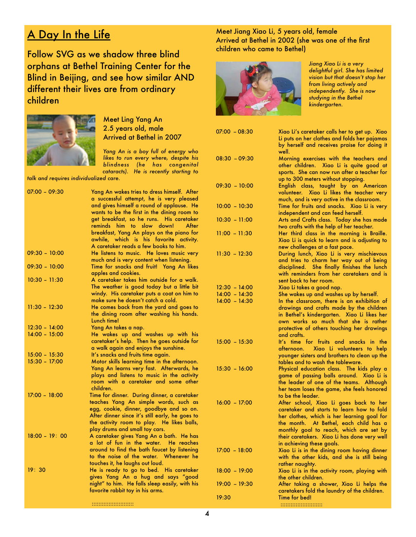# <u>A Day In the Life</u>

Follow SVG as we shadow three blind orphans at Bethel Training Center for the Blind in Beijing, and see how similar AND different their lives are from ordinary children



Meet Ling Yang An 2.5 years old, male Arrived at Bethel in 2007

*Yang An is a boy full of energy who likes to run every where, despite his blindness (he has congenital cataracts). He is recently starting to* 

*talk and requires individualized care.* 

| $07:00 - 09:30$ | Yang An wakes tries to dress himself. After<br>a successful attempt, he is very pleased<br>and gives himself a round of applause. He<br>wants to be the first in the dining room to<br>get breakfast, so he runs. His caretaker<br>reminds him to slow down!<br><b>After</b><br>breakfast, Yang An plays on the piano for<br>awhile, which is his favorite activity.<br>A caretaker reads a few books to him. |
|-----------------|---------------------------------------------------------------------------------------------------------------------------------------------------------------------------------------------------------------------------------------------------------------------------------------------------------------------------------------------------------------------------------------------------------------|
| $09:30 - 10:00$ | He listens to music. He loves music very<br>much and is very content when listening.                                                                                                                                                                                                                                                                                                                          |
| $09:30 - 10:00$ | Time for snacks and fruit! Yang An likes<br>apples and cookies.                                                                                                                                                                                                                                                                                                                                               |
| $10:30 - 11:30$ | A caretaker takes him outside for a walk.<br>The weather is good today but a little bit<br>windy. His caretaker puts a coat on him to<br>make sure he doesn't catch a cold.                                                                                                                                                                                                                                   |
| $11:30 - 12:30$ | He comes back from the yard and goes to<br>the dining room after washing his hands.<br>Lunch time!                                                                                                                                                                                                                                                                                                            |
| $12:30 - 14:00$ | Yang An takes a nap.                                                                                                                                                                                                                                                                                                                                                                                          |
| $14:00 - 15:00$ | He wakes up and washes up with his<br>caretaker's help. Then he goes outside for<br>a walk again and enjoys the sunshine.                                                                                                                                                                                                                                                                                     |
| $15:00 - 15:30$ | It's snacks and fruits time again.                                                                                                                                                                                                                                                                                                                                                                            |
| $15:30 - 17:00$ | Motor skills learning time in the afternoon.<br>Yang An learns very fast. Afterwards, he<br>plays and listens to music in the activity<br>room with a caretaker and some other<br>children.                                                                                                                                                                                                                   |
| $17:00 - 18:00$ | Time for dinner. During dinner, a caretaker<br>teaches Yang An simple words, such as<br>egg, cookie, dinner, goodbye and so on.<br>After dinner since it's still early, he goes to<br>the activity room to play. He likes balls,<br>play drums and small toy cars.                                                                                                                                            |
| $18:00 - 19:00$ | A caretaker gives Yang An a bath. He has<br>a lot of fun in the water. He reaches<br>around to find the bath faucet by listening<br>to the noise of the water. Whenever he<br>touches it, he laughs out loud.                                                                                                                                                                                                 |
| 19:30           | He is ready to go to bed. His caretaker<br>gives Yang An a hug and says "good<br>night" to him. He falls sleep easily, with his<br>favorite rabbit toy in his arms.                                                                                                                                                                                                                                           |
|                 | :::::::::::::::::::::::::                                                                                                                                                                                                                                                                                                                                                                                     |

#### Meet Jiang Xiao Li, 5 years old, female Arrived at Bethel in 2002 (she was one of the first children who came to Bethel)



*Jiang Xiao Li is a very delightful girl. She has limited vision but that doesn't stop her from living actively and independently. She is now studying in the Bethel kindergarten.*

| 07:00 - 08:30   | Xiao Li's caretaker calls her to get up. Xiao<br>Li puts on her clothes and folds her pajamas<br>by herself and receives praise for doing it<br>well.                                                                                                                                                |
|-----------------|------------------------------------------------------------------------------------------------------------------------------------------------------------------------------------------------------------------------------------------------------------------------------------------------------|
| 08:30 - 09:30   | Morning exercises with the teachers and<br>other children. Xiao Li is quite good at<br>sports. She can now run after a teacher for<br>up to 300 meters without stopping.                                                                                                                             |
| 09:30 - 10:00   | English class, taught by an American<br>volunteer. Xiao Li likes the teacher very<br>much, and is very active in the classroom.                                                                                                                                                                      |
| $10:00 - 10:30$ | Time for fruits and snacks. Xiao Li is very<br>independent and can feed herself.                                                                                                                                                                                                                     |
| $10:30 - 11:00$ | Arts and Crafts class. Today she has made<br>two crafts with the help of her teacher.                                                                                                                                                                                                                |
| $11:00 - 11:30$ | Her third class in the morning is Braille.<br>Xiao Li is quick to learn and is adjusting to<br>new challenges at a fast pace.                                                                                                                                                                        |
| 11:30 - 12:30   | During lunch, Xiao Li is very mischievous<br>and tries to charm her way out of being<br>disciplined. She finally finishes the lunch<br>with reminders from her caretakers and is<br>sent back to her room.                                                                                           |
| $12:30 - 14:00$ | Xiao Li takes a good nap.                                                                                                                                                                                                                                                                            |
| $14:00 - 14:30$ | She wakes up and washes up by herself.                                                                                                                                                                                                                                                               |
| $14:00 - 14:30$ | In the classroom, there is an exhibition of<br>drawings and crafts made by the children<br>in Bethel's kindergarten. Xiao Li likes her<br>own works so much that she is rather<br>protective of others touching her drawings<br>and crafts.                                                          |
| 15:00 - 15:30   | It's time for fruits and snacks in the<br>afternoon. Xiao Li volunteers to help<br>younger sisters and brothers to clean up the<br>tables and to wash the tableware.                                                                                                                                 |
| 15:30 - 16:00   | Physical education class. The kids play a<br>game of passing balls around. Xiao Li is<br>the leader of one of the teams. Although<br>her team loses the game, she feels honored<br>to be the leader.                                                                                                 |
| $16:00 - 17:00$ | After school, Xiao Li goes back to her<br>caretaker and starts to learn how to fold<br>her clothes, which is her learning goal for<br>the month. At Bethel, each child has a<br>monthly goal to reach, which are set by<br>their caretakers. Xiao Li has done very well<br>in achieving these goals. |
| $17:00 - 18:00$ | Xiao Li is in the dining room having dinner<br>with the other kids, and she is still being<br>rather naughty.                                                                                                                                                                                        |
| $18:00 - 19:00$ | Xiao Li is in the activity room, playing with<br>the other children.                                                                                                                                                                                                                                 |
| $19:00 - 19:30$ | After taking a shower, Xiao Li helps the<br>caretakers fold the laundry of the children.                                                                                                                                                                                                             |
| 19:30           | Time for bed!                                                                                                                                                                                                                                                                                        |

:::::::::::::::::::::::::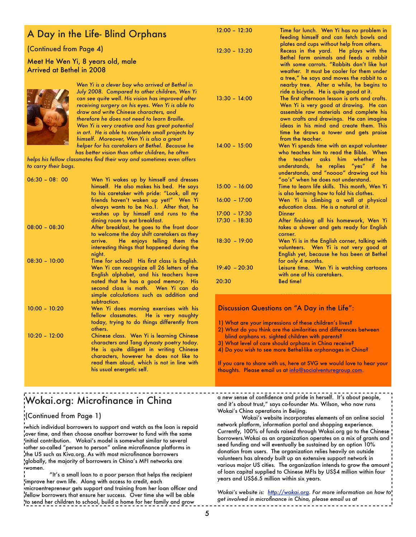| A Day in the Life- Blind Orphans                                      | $12:00 - 12:30$ | Time for lunch. Wen Yi has no problem in<br>feeding himself and can fetch bowls and                                               |
|-----------------------------------------------------------------------|-----------------|-----------------------------------------------------------------------------------------------------------------------------------|
| (Continued from Page 4)                                               | $12:30 - 13:20$ | plates and cups without help from others.<br>Recess in the yard. He plays with the                                                |
| Meet He Wen Yi, 8 years old, male<br><b>Arrived at Bethel in 2008</b> |                 | Bethel farm animals and feeds a rabbit<br>with some carrots. "Rabbits don't like hot<br>weather. It must be cooler for them under |
| Wen Yi is a clever boy who arrived at Bethel in                       |                 | a tree," he says and moves the rabbit to a<br>nearby tree. After a while, he begins to                                            |



*July 2008. Compared to other children, Wen Yi can see quite well. His vision has improved after receiving surgery on his eyes. Wen Yi is able to draw and write Chinese characters, and therefore he does not need to learn Braille. Wen Yi is very creative and has great potential in art. He is able to complete small projects by himself. Moreover, Wen Yi is also a great helper for his caretakers at Bethel. Because he has better vision than other children, he often* 

*helps his fellow classmates find their way and sometimes even offers to carry their bags.* 

| $06:30 - 08:00$ | Wen Yi wakes up by himself and dresses<br>himself. He also makes his bed. He says<br>to his caretaker with pride: "Look, all my<br>friends haven't waken up yet!" Wen Yi<br>always wants to be No.1. After that, he<br>washes up by himself and runs to the<br>dining room to eat breakfast. |
|-----------------|----------------------------------------------------------------------------------------------------------------------------------------------------------------------------------------------------------------------------------------------------------------------------------------------|
| $08:00 - 08:30$ | After breakfast, he goes to the front door<br>to welcome the day shift caretakers as they<br>He enjoys telling them the<br>arrive.<br>interesting things that happened during the<br>night.                                                                                                  |
| $08:30 - 10:00$ | Time for school! His first class is English.<br>Wen Yi can recognize all 26 letters of the<br>English alphabet, and his teachers have<br>noted that he has a good memory. His<br>second class is math. Wen Yi can do<br>simple calculations such as addition and<br>subtraction.             |
| $10:00 - 10:20$ | Wen Yi does morning exercises with his<br>fellow classmates. He is very naughty<br>today, trying to do things differently from<br>others.                                                                                                                                                    |
| $10:20 - 12:00$ | Chinese class. Wen Yi is learning Chinese<br>characters and Tang dynasty poetry today.<br>He is quite diligent in writing Chinese<br>characters, however he does not like to<br>read them aloud, which is not in line with<br>his usual energetic self.                                      |

# Wokai.org: Microfinance in China

### (Continued from Page 1)

which individual borrowers to support and watch as the loan is repaid over time, and then choose another borrower to fund with the same initial contribution. Wokai's model is somewhat similar to several other so-called "person to person" online microfinance platforms in the US such as Kiva.org. As with most microfinance borrowers globally, the majority of borrowers in China's MFI networks are women.

"It's a small loan to a poor person that helps the recipient improve her own life. Along with access to credit, each microentrepreneur gets support and training from her loan officer and fellow borrowers that ensure her success. Over time she will be able to send her children to school, build a home for her family and grow

12:30 – 13:20 Recess in the yard. He plays with the

13:30 – 14:00 The first afternoon lesson is arts and crafts.

14:00 – 15:00 Wen Yi spends time with an expat volunteer who teaches him to read the Bible. When the teacher asks him whether he understands, he replies "yes" if he understands, and "noooo" drawing out his "oo's" when he does not understand. 15:00 - 16:00 Time to learn life skills. This month, Wen Yi

Bethel farm animals and feeds a rabbit with some carrots. "Rabbits don't like hot weather. It must be cooler for them under a tree," he says and moves the rabbit to a nearby tree. After a while, he begins to ride a bicycle. He is quite good at it.

Wen Yi is very good at drawing. He can assemble raw materials and complete his own crafts and drawings. He can imagine ideas in his mind and create them. This time he draws a tower and gets praise

is also learning how to fold his clothes. 16:00 - 17:00 Wen Yi is climbing a wall at physical education class. He is a natural at it.

from the teacher.

- 17:00 -- 17:30 Dinner<br>17:30 -- 18:30 After After finishing all his homework, Wen Yi takes a shower and gets ready for English corner.
- 18:30 19:00 Wen Yi is in the English corner, talking with volunteers. Wen Yi is not very good at English yet, because he has been at Bethel for only 4 months.
- 19:40 20:30 Leisure time. Wen Yi is watching cartoons with one of his caretakers. 20:30 Bed time!

### Discussion Questions on "A Day in the Life": Discussion Questions on "A Day in the Life":

- 1) What are your impressions of these children's lives? 1) What are your impressions of these children's lives?
- 2) What do you think are the similarities and differences between 2) What do you think are the similarities and differences between blind orphans vs. sighted children with parents? blind orphans vs. sighted children with parents?

:::::::::::::::::::::::::

- 3) What level of care should orphans in China receive? 3) What level of care should orphans in China receive?
- 4) Do you wish to see more Bethel-like orphanages in China? 4) Do you wish to see more Bethel-like orphanages in China?

If you care to share with us, here at SVG we would love to hear your thoughts. Please email us at i[nfo@socialventuregroup.com.](mailto:info@socialventuregroup.com) thoughts. Please email us at [info@socialventuregroup.com.](mailto:info@socialventuregroup.com)

a new sense of confidence and pride in herself. It's about people, and it's about trust," says co-founder Ms. Wilson, who now runs Wokai's China operations in Beijing.

Wokai's website incorporates elements of an online social network platform, information portal and shopping experience. Currently, 100% of funds raised through Wokai.org go to the Chinese borrowers.Wokai as an organization operates on a mix of grants and seed funding and will eventually be sustained by an option 10% donation from users. The organization relies heavily on outside volunteers has already built up an extensive support network in various major US cities. The organization intends to grow the amount of loan capital supplied to Chinese MFIs by US\$4 million within four years and US\$6.5 million within six years.

*Wokai's website is: [http://wokai.org.](http://wokai.org) For more information on how to get involved in microfinance in China, please email us at*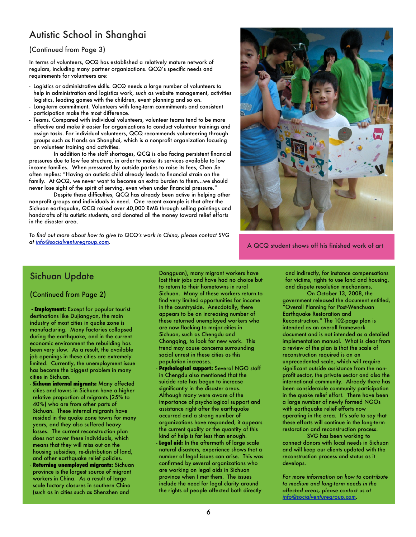# Autistic School in Shanghai

#### (Continued from Page 3)

In terms of volunteers, QCQ has established a relatively mature network of regulars, including many partner organizations. QCQ's specific needs and requirements for volunteers are:

- Logistics or administrative skills. QCQ needs a large number of volunteers to help in administration and logistics work, such as website management, activities logistics, leading games with the children, event planning and so on.
- Long-term commitment. Volunteers with long-term commitments and consistent participation make the most difference.
- Teams. Compared with individual volunteers, volunteer teams tend to be more effective and make it easier for organizations to conduct volunteer trainings and assign tasks. For individual volunteers, QCQ recommends volunteering through groups such as Hands on Shanghai, which is a nonprofit organization focusing on volunteer training and activities.

In addition to the staff shortages, QCQ is also facing persistent financial pressures due to low fee structure, in order to make its services available to low income families. When pressured by outside parties to raise its fees, Chen Jie often replies: "Having an autistic child already leads to financial strain on the family. At QCQ, we never want to become an extra burden to them…we should never lose sight of the spirit of serving, even when under financial pressure."

Despite these difficulties, QCQ has already been active in helping other nonprofit groups and individuals in need. One recent example is that after the Sichuan earthquake, QCQ raised over 40,000 RMB through selling paintings and handcrafts of its autistic students, and donated all the money toward relief efforts in the disaster area.

*To find out more about how to give to QCQ's work in China, please contact SVG* at <u>info@socialventuregroup.com</u>. <br>A QCQ student shows off his finished work of art



### Sichuan Update

#### (Continued from Page 2)

- **Employment:** Except for popular tourist destinations like Dujiangyan, the main industry of most cities in quake zone is manufacturing. Many factories collapsed during the earthquake, and in the current economic environment the rebuilding has been very slow. As a result, the available job openings in these cities are extremely limited. Currently, the unemployment issue has become the biggest problem in many cities in Sichuan.
- **Sichuan internal migrants:** Many affected cities and towns in Sichuan have a higher relative proportion of migrants (25% to 40%) who are from other parts of Sichuan. These internal migrants have resided in the quake zone towns for many years, and they also suffered heavy losses. The current reconstruction plan does not cover these individuals, which means that they will miss out on the housing subsidies, re-distribution of land, and other earthquake relief policies.
- **Returning unemployed migrants:** Sichuan province is the largest source of migrant workers in China. As a result of large scale factory closures in southern China (such as in cities such as Shenzhen and

Dongguan), many migrant workers have lost their jobs and have had no choice but to return to their hometowns in rural Sichuan. Many of these workers return to find very limited opportunities for income in the countryside. Anecdotally, there appears to be an increasing number of these returned unemployed workers who are now flocking to major cities in Sichuan, such as Chengdu and Chongqing, to look for new work. This trend may cause concerns surrounding social unrest in these cities as this population increases.

- **Psychological support:** Several NGO staff in Chengdu also mentioned that the suicide rate has begun to increase significantly in the disaster areas. Although many were aware of the importance of psychological support and assistance right after the earthquake occurred and a strong number of organizations have responded, it appears the current quality or the quantity of this kind of help is far less than enough.
- **Legal aid:** In the aftermath of large scale natural disasters, experience shows that a number of legal issues can arise. This was confirmed by several organizations who are working on legal aids in Sichuan province when I met them. The issues include the need for legal clarity around the rights of people affected both directly

and indirectly, for instance compensations for victims, rights to use land and housing, and dispute resolution mechanisms.

On October 13, 2008, the government released the document entitled, "Overall Planning for Post-Wenchuan Earthquake Restoration and Reconstruction." The 102-page plan is intended as an overall framework document and is not intended as a detailed implementation manual. What is clear from a review of the plan is that the scale of reconstruction required is on an unprecedented scale, which will require significant outside assistance from the nonprofit sector, the private sector and also the international community. Already there has been considerable community participation in the quake relief effort. There have been a large number of newly formed NGOs with earthquake relief efforts now operating in the area. It's safe to say that these efforts will continue in the long-term restoration and reconstruction process.

SVG has been working to connect donors with local needs in Sichuan and will keep our clients updated with the reconstruction process and status as it develops.

*For more information on how to contribute to medium and long-term needs in the affected areas, please contact us at [info@socialventuregroup.com.](mailto:info@socialventuregroup.com)*